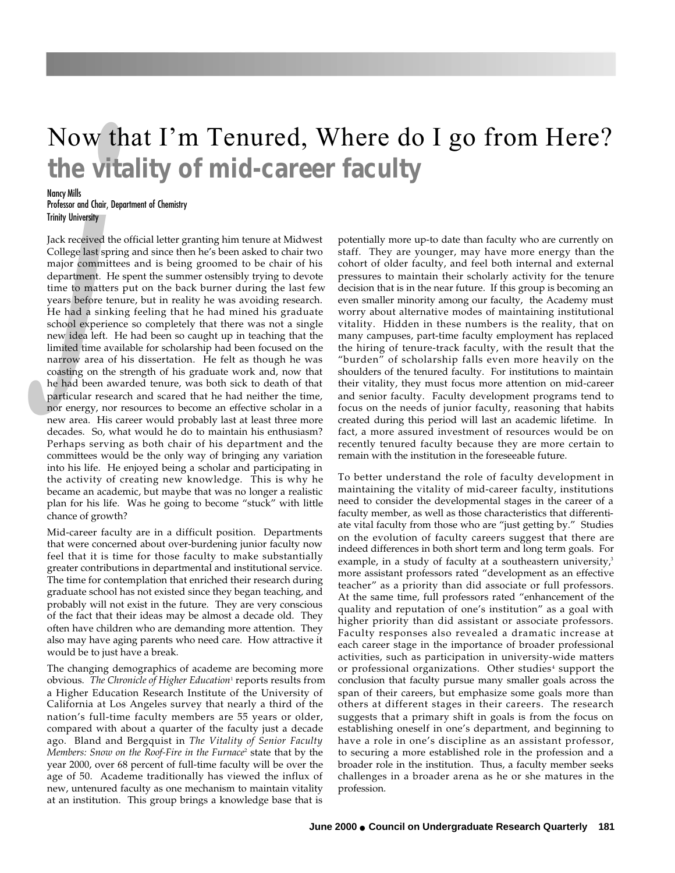## Now that I'm Tenured, Where do I go from Here? **the vitality of mid-career faculty**

## Nancy Mills

Professor and Chair, Department of Chemistry Trinity University

*university*<br>**received t**<br>**request** sp<br>**r commit**<br>**t**<br>**t to natter**<br>**s before t**<br>**a s indep**<br>**idea left**.<br>**b i m a o indep**<br>**indep o i n** Jack received the official letter granting him tenure at Midwest College last spring and since then he's been asked to chair two major committees and is being groomed to be chair of his department. He spent the summer ostensibly trying to devote time to matters put on the back burner during the last few years before tenure, but in reality he was avoiding research. He had a sinking feeling that he had mined his graduate school experience so completely that there was not a single new idea left. He had been so caught up in teaching that the limited time available for scholarship had been focused on the narrow area of his dissertation. He felt as though he was coasting on the strength of his graduate work and, now that he had been awarded tenure, was both sick to death of that particular research and scared that he had neither the time, nor energy, nor resources to become an effective scholar in a new area. His career would probably last at least three more decades. So, what would he do to maintain his enthusiasm? Perhaps serving as both chair of his department and the committees would be the only way of bringing any variation into his life. He enjoyed being a scholar and participating in the activity of creating new knowledge. This is why he became an academic, but maybe that was no longer a realistic plan for his life. Was he going to become "stuck" with little chance of growth?

Mid-career faculty are in a difficult position. Departments that were concerned about over-burdening junior faculty now feel that it is time for those faculty to make substantially greater contributions in departmental and institutional service. The time for contemplation that enriched their research during graduate school has not existed since they began teaching, and probably will not exist in the future. They are very conscious of the fact that their ideas may be almost a decade old. They often have children who are demanding more attention. They also may have aging parents who need care. How attractive it would be to just have a break.

The changing demographics of academe are becoming more obvious. *The Chronicle of Higher Education*1 reports results from a Higher Education Research Institute of the University of California at Los Angeles survey that nearly a third of the nation's full-time faculty members are 55 years or older, compared with about a quarter of the faculty just a decade ago. Bland and Bergquist in *The Vitality of Senior Faculty Members: Snow on the Roof-Fire in the Furnace*2 state that by the year 2000, over 68 percent of full-time faculty will be over the age of 50. Academe traditionally has viewed the influx of new, untenured faculty as one mechanism to maintain vitality at an institution. This group brings a knowledge base that is

potentially more up-to date than faculty who are currently on staff. They are younger, may have more energy than the cohort of older faculty, and feel both internal and external pressures to maintain their scholarly activity for the tenure decision that is in the near future. If this group is becoming an even smaller minority among our faculty, the Academy must worry about alternative modes of maintaining institutional vitality. Hidden in these numbers is the reality, that on many campuses, part-time faculty employment has replaced the hiring of tenure-track faculty, with the result that the "burden" of scholarship falls even more heavily on the shoulders of the tenured faculty. For institutions to maintain their vitality, they must focus more attention on mid-career and senior faculty. Faculty development programs tend to focus on the needs of junior faculty, reasoning that habits created during this period will last an academic lifetime. In fact, a more assured investment of resources would be on recently tenured faculty because they are more certain to remain with the institution in the foreseeable future.

To better understand the role of faculty development in maintaining the vitality of mid-career faculty, institutions need to consider the developmental stages in the career of a faculty member, as well as those characteristics that differentiate vital faculty from those who are "just getting by." Studies on the evolution of faculty careers suggest that there are indeed differences in both short term and long term goals. For example, in a study of faculty at a southeastern university,<sup>3</sup> more assistant professors rated "development as an effective teacher" as a priority than did associate or full professors. At the same time, full professors rated "enhancement of the quality and reputation of one's institution" as a goal with higher priority than did assistant or associate professors. Faculty responses also revealed a dramatic increase at each career stage in the importance of broader professional activities, such as participation in university-wide matters or professional organizations. Other studies<sup>4</sup> support the conclusion that faculty pursue many smaller goals across the span of their careers, but emphasize some goals more than others at different stages in their careers. The research suggests that a primary shift in goals is from the focus on establishing oneself in one's department, and beginning to have a role in one's discipline as an assistant professor, to securing a more established role in the profession and a broader role in the institution. Thus, a faculty member seeks challenges in a broader arena as he or she matures in the profession.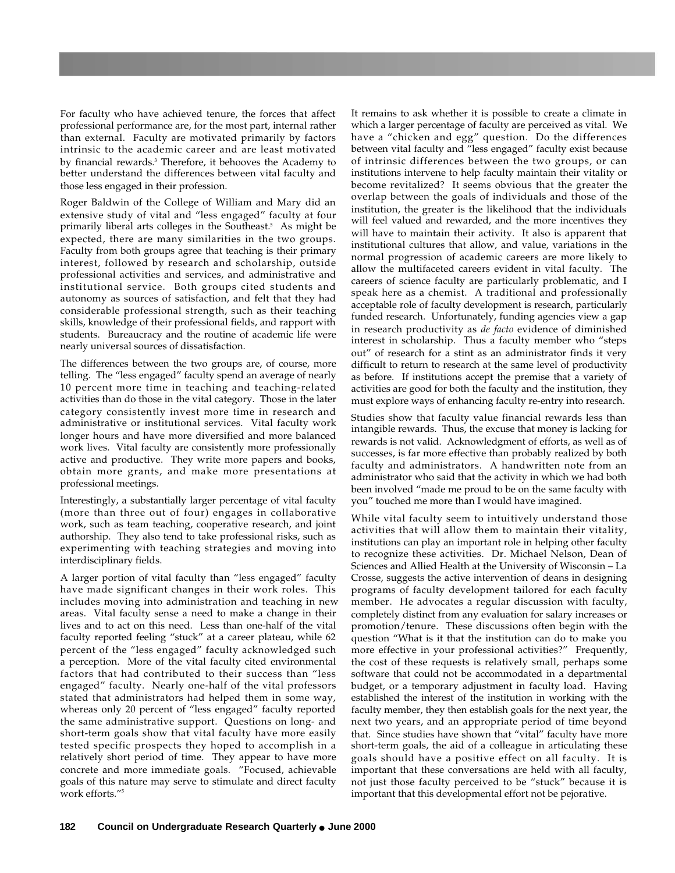For faculty who have achieved tenure, the forces that affect professional performance are, for the most part, internal rather than external. Faculty are motivated primarily by factors intrinsic to the academic career and are least motivated by financial rewards. 3 Therefore, it behooves the Academy to better understand the differences between vital faculty and those less engaged in their profession.

Roger Baldwin of the College of William and Mary did an extensive study of vital and "less engaged" faculty at four primarily liberal arts colleges in the Southeast. 5 As might be expected, there are many similarities in the two groups. Faculty from both groups agree that teaching is their primary interest, followed by research and scholarship, outside professional activities and services, and administrative and institutional service. Both groups cited students and autonomy as sources of satisfaction, and felt that they had considerable professional strength, such as their teaching skills, knowledge of their professional fields, and rapport with students. Bureaucracy and the routine of academic life were nearly universal sources of dissatisfaction.

The differences between the two groups are, of course, more telling. The "less engaged" faculty spend an average of nearly 10 percent more time in teaching and teaching-related activities than do those in the vital category. Those in the later category consistently invest more time in research and administrative or institutional services. Vital faculty work longer hours and have more diversified and more balanced work lives. Vital faculty are consistently more professionally active and productive. They write more papers and books, obtain more grants, and make more presentations at professional meetings.

Interestingly, a substantially larger percentage of vital faculty (more than three out of four) engages in collaborative work, such as team teaching, cooperative research, and joint authorship. They also tend to take professional risks, such as experimenting with teaching strategies and moving into interdisciplinary fields.

A larger portion of vital faculty than "less engaged" faculty have made significant changes in their work roles. This includes moving into administration and teaching in new areas. Vital faculty sense a need to make a change in their lives and to act on this need. Less than one-half of the vital faculty reported feeling "stuck" at a career plateau, while 62 percent of the "less engaged" faculty acknowledged such a perception. More of the vital faculty cited environmental factors that had contributed to their success than "less engaged" faculty. Nearly one-half of the vital professors stated that administrators had helped them in some way, whereas only 20 percent of "less engaged" faculty reported the same administrative support. Questions on long- and short-term goals show that vital faculty have more easily tested specific prospects they hoped to accomplish in a relatively short period of time. They appear to have more concrete and more immediate goals. "Focused, achievable goals of this nature may serve to stimulate and direct faculty work efforts."5

It remains to ask whether it is possible to create a climate in which a larger percentage of faculty are perceived as vital. We have a "chicken and egg" question. Do the differences between vital faculty and "less engaged" faculty exist because of intrinsic differences between the two groups, or can institutions intervene to help faculty maintain their vitality or become revitalized? It seems obvious that the greater the overlap between the goals of individuals and those of the institution, the greater is the likelihood that the individuals will feel valued and rewarded, and the more incentives they will have to maintain their activity. It also is apparent that institutional cultures that allow, and value, variations in the normal progression of academic careers are more likely to allow the multifaceted careers evident in vital faculty. The careers of science faculty are particularly problematic, and I speak here as a chemist. A traditional and professionally acceptable role of faculty development is research, particularly funded research. Unfortunately, funding agencies view a gap in research productivity as *de facto* evidence of diminished interest in scholarship. Thus a faculty member who "steps out" of research for a stint as an administrator finds it very difficult to return to research at the same level of productivity as before. If institutions accept the premise that a variety of activities are good for both the faculty and the institution, they must explore ways of enhancing faculty re-entry into research.

Studies show that faculty value financial rewards less than intangible rewards. Thus, the excuse that money is lacking for rewards is not valid. Acknowledgment of efforts, as well as of successes, is far more effective than probably realized by both faculty and administrators. A handwritten note from an administrator who said that the activity in which we had both been involved "made me proud to be on the same faculty with you" touched me more than I would have imagined.

While vital faculty seem to intuitively understand those activities that will allow them to maintain their vitality, institutions can play an important role in helping other faculty to recognize these activities. Dr. Michael Nelson, Dean of Sciences and Allied Health at the University of Wisconsin – La Crosse, suggests the active intervention of deans in designing programs of faculty development tailored for each faculty member. He advocates a regular discussion with faculty, completely distinct from any evaluation for salary increases or promotion/tenure. These discussions often begin with the question "What is it that the institution can do to make you more effective in your professional activities?" Frequently, the cost of these requests is relatively small, perhaps some software that could not be accommodated in a departmental budget, or a temporary adjustment in faculty load. Having established the interest of the institution in working with the faculty member, they then establish goals for the next year, the next two years, and an appropriate period of time beyond that. Since studies have shown that "vital" faculty have more short-term goals, the aid of a colleague in articulating these goals should have a positive effect on all faculty. It is important that these conversations are held with all faculty, not just those faculty perceived to be "stuck" because it is important that this developmental effort not be pejorative.